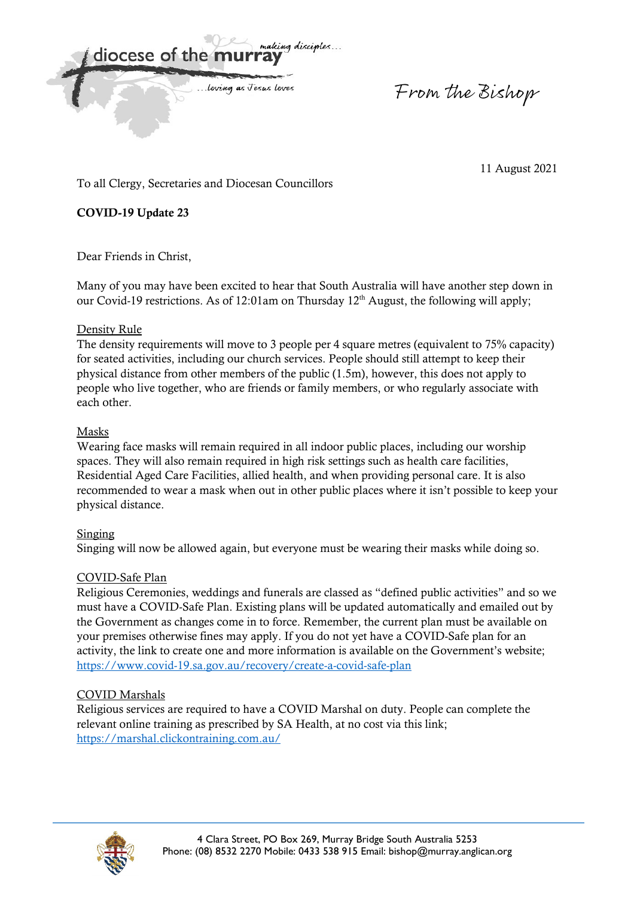making discimles... diocese of the m

... loving as Jesus Loves

From the Bishop

11 August 2021

To all Clergy, Secretaries and Diocesan Councillors

**COVID-19 Update 23** 

Dear Friends in Christ,

Many of you may have been excited to hear that South Australia will have another step down in our Covid-19 restrictions. As of 12:01am on Thursday 12<sup>th</sup> August, the following will apply;

### Density Rule

The density requirements will move to 3 people per 4 square metres (equivalent to 75% capacity) for seated activities, including our church services. People should still attempt to keep their physical distance from other members of the public (1.5m), however, this does not apply to people who live together, who are friends or family members, or who regularly associate with each other.

#### Masks

Wearing face masks will remain required in all indoor public places, including our worship spaces. They will also remain required in high risk settings such as health care facilities, Residential Aged Care Facilities, allied health, and when providing personal care. It is also recommended to wear a mask when out in other public places where it isn't possible to keep your physical distance.

#### Singing

Singing will now be allowed again, but everyone must be wearing their masks while doing so.

# COVID-Safe Plan

Religious Ceremonies, weddings and funerals are classed as "defined public activities" and so we must have a COVID-Safe Plan. Existing plans will be updated automatically and emailed out by the Government as changes come in to force. Remember, the current plan must be available on your premises otherwise fines may apply. If you do not yet have a COVID-Safe plan for an activity, the link to create one and more information is available on the Government's website; https://www.covid-19.sa.gov.au/recovery/create-a-covid-safe-plan

# COVID Marshals

Religious services are required to have a COVID Marshal on duty. People can complete the relevant online training as prescribed by SA Health, at no cost via this link; https://marshal.clickontraining.com.au/

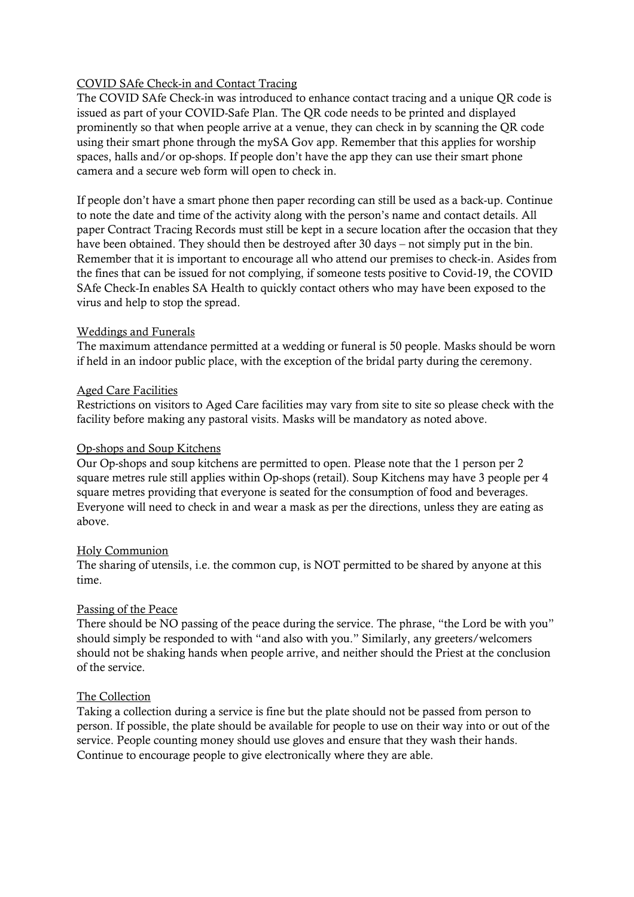### COVID SAfe Check-in and Contact Tracing

The COVID SAfe Check-in was introduced to enhance contact tracing and a unique QR code is issued as part of your COVID-Safe Plan. The QR code needs to be printed and displayed prominently so that when people arrive at a venue, they can check in by scanning the QR code using their smart phone through the mySA Gov app. Remember that this applies for worship spaces, halls and/or op-shops. If people don't have the app they can use their smart phone camera and a secure web form will open to check in.

If people don't have a smart phone then paper recording can still be used as a back-up. Continue to note the date and time of the activity along with the person's name and contact details. All paper Contract Tracing Records must still be kept in a secure location after the occasion that they have been obtained. They should then be destroyed after 30 days – not simply put in the bin. Remember that it is important to encourage all who attend our premises to check-in. Asides from the fines that can be issued for not complying, if someone tests positive to Covid-19, the COVID SAfe Check-In enables SA Health to quickly contact others who may have been exposed to the virus and help to stop the spread.

#### Weddings and Funerals

The maximum attendance permitted at a wedding or funeral is 50 people. Masks should be worn if held in an indoor public place, with the exception of the bridal party during the ceremony.

### Aged Care Facilities

Restrictions on visitors to Aged Care facilities may vary from site to site so please check with the facility before making any pastoral visits. Masks will be mandatory as noted above.

#### Op-shops and Soup Kitchens

Our Op-shops and soup kitchens are permitted to open. Please note that the 1 person per 2 square metres rule still applies within Op-shops (retail). Soup Kitchens may have 3 people per 4 square metres providing that everyone is seated for the consumption of food and beverages. Everyone will need to check in and wear a mask as per the directions, unless they are eating as above.

#### Holy Communion

The sharing of utensils, i.e. the common cup, is NOT permitted to be shared by anyone at this time.

# Passing of the Peace

There should be NO passing of the peace during the service. The phrase, "the Lord be with you" should simply be responded to with "and also with you." Similarly, any greeters/welcomers should not be shaking hands when people arrive, and neither should the Priest at the conclusion of the service.

# The Collection

Taking a collection during a service is fine but the plate should not be passed from person to person. If possible, the plate should be available for people to use on their way into or out of the service. People counting money should use gloves and ensure that they wash their hands. Continue to encourage people to give electronically where they are able.